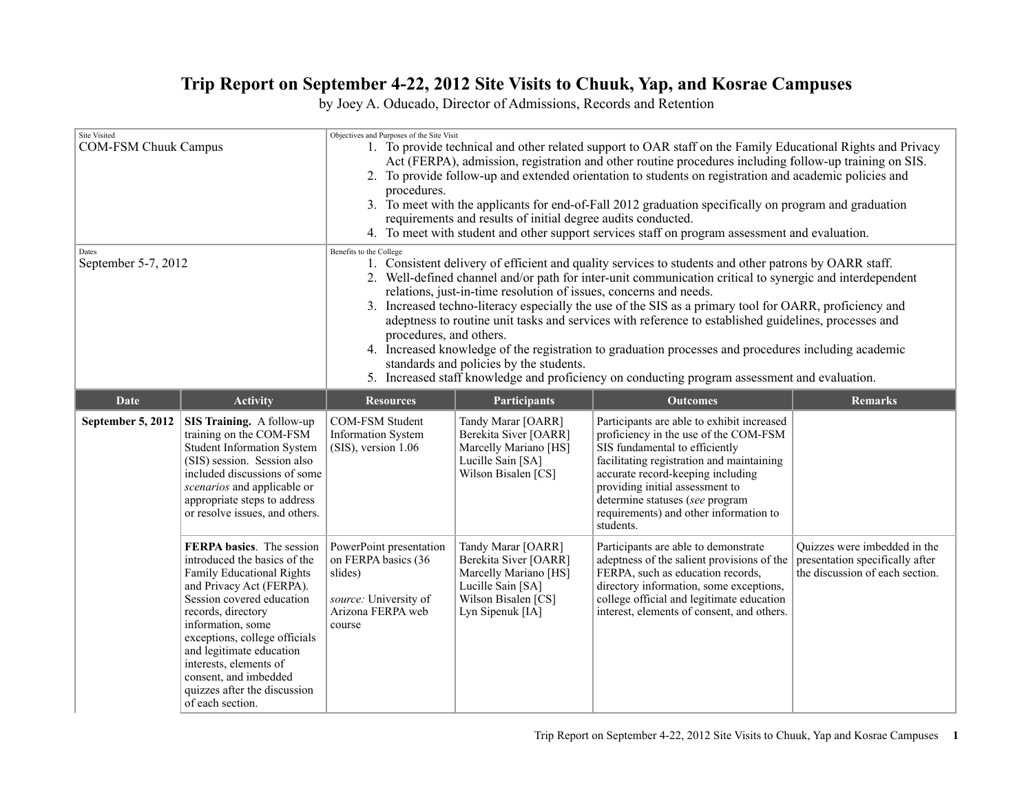## **Trip Report on September 4-22, 2012 Site Visits to Chuuk, Yap, and Kosrae Campuses**

by Joey A. Oducado, Director of Admissions, Records and Retention

| <b>Site Visited</b><br><b>COM-FSM Chuuk Campus</b><br>Dates<br>September 5-7, 2012 |                                                                                                                                                                                                                                                                                                                                                                | Objectives and Purposes of the Site Visit<br>1. To provide technical and other related support to OAR staff on the Family Educational Rights and Privacy<br>Act (FERPA), admission, registration and other routine procedures including follow-up training on SIS.<br>2. To provide follow-up and extended orientation to students on registration and academic policies and<br>procedures.<br>3. To meet with the applicants for end-of-Fall 2012 graduation specifically on program and graduation<br>requirements and results of initial degree audits conducted.<br>4. To meet with student and other support services staff on program assessment and evaluation.<br>Benefits to the College<br>1. Consistent delivery of efficient and quality services to students and other patrons by OARR staff.<br>2. Well-defined channel and/or path for inter-unit communication critical to synergic and interdependent<br>relations, just-in-time resolution of issues, concerns and needs.<br>3. Increased techno-literacy especially the use of the SIS as a primary tool for OARR, proficiency and<br>adeptness to routine unit tasks and services with reference to established guidelines, processes and<br>procedures, and others.<br>4. Increased knowledge of the registration to graduation processes and procedures including academic<br>standards and policies by the students.<br>5. Increased staff knowledge and proficiency on conducting program assessment and evaluation. |                                                                                                                                      |                                                                                                                                                                                                                                                                                                                                      |                                                                                                    |
|------------------------------------------------------------------------------------|----------------------------------------------------------------------------------------------------------------------------------------------------------------------------------------------------------------------------------------------------------------------------------------------------------------------------------------------------------------|----------------------------------------------------------------------------------------------------------------------------------------------------------------------------------------------------------------------------------------------------------------------------------------------------------------------------------------------------------------------------------------------------------------------------------------------------------------------------------------------------------------------------------------------------------------------------------------------------------------------------------------------------------------------------------------------------------------------------------------------------------------------------------------------------------------------------------------------------------------------------------------------------------------------------------------------------------------------------------------------------------------------------------------------------------------------------------------------------------------------------------------------------------------------------------------------------------------------------------------------------------------------------------------------------------------------------------------------------------------------------------------------------------------------------------------------------------------------------------------------|--------------------------------------------------------------------------------------------------------------------------------------|--------------------------------------------------------------------------------------------------------------------------------------------------------------------------------------------------------------------------------------------------------------------------------------------------------------------------------------|----------------------------------------------------------------------------------------------------|
| <b>Date</b>                                                                        | <b>Activity</b>                                                                                                                                                                                                                                                                                                                                                | <b>Resources</b>                                                                                                                                                                                                                                                                                                                                                                                                                                                                                                                                                                                                                                                                                                                                                                                                                                                                                                                                                                                                                                                                                                                                                                                                                                                                                                                                                                                                                                                                             | <b>Participants</b>                                                                                                                  | <b>Outcomes</b>                                                                                                                                                                                                                                                                                                                      | <b>Remarks</b>                                                                                     |
| September 5, 2012                                                                  | SIS Training. A follow-up<br>training on the COM-FSM<br>Student Information System<br>(SIS) session. Session also<br>included discussions of some<br>scenarios and applicable or<br>appropriate steps to address<br>or resolve issues, and others.                                                                                                             | COM-FSM Student<br><b>Information System</b><br>(SIS), version 1.06                                                                                                                                                                                                                                                                                                                                                                                                                                                                                                                                                                                                                                                                                                                                                                                                                                                                                                                                                                                                                                                                                                                                                                                                                                                                                                                                                                                                                          | Tandy Marar [OARR]<br>Berekita Siver [OARR]<br>Marcelly Mariano [HS]<br>Lucille Sain [SA]<br>Wilson Bisalen [CS]                     | Participants are able to exhibit increased<br>proficiency in the use of the COM-FSM<br>SIS fundamental to efficiently<br>facilitating registration and maintaining<br>accurate record-keeping including<br>providing initial assessment to<br>determine statuses (see program<br>requirements) and other information to<br>students. |                                                                                                    |
|                                                                                    | FERPA basics. The session<br>introduced the basics of the<br>Family Educational Rights<br>and Privacy Act (FERPA).<br>Session covered education<br>records, directory<br>information, some<br>exceptions, college officials<br>and legitimate education<br>interests, elements of<br>consent, and imbedded<br>quizzes after the discussion<br>of each section. | PowerPoint presentation<br>on FERPA basics (36<br>slides)<br>source: University of<br>Arizona FERPA web<br>course                                                                                                                                                                                                                                                                                                                                                                                                                                                                                                                                                                                                                                                                                                                                                                                                                                                                                                                                                                                                                                                                                                                                                                                                                                                                                                                                                                            | Tandy Marar [OARR]<br>Berekita Siver [OARR]<br>Marcelly Mariano [HS]<br>Lucille Sain [SA]<br>Wilson Bisalen [CS]<br>Lyn Sipenuk [IA] | Participants are able to demonstrate<br>adeptness of the salient provisions of the<br>FERPA, such as education records,<br>directory information, some exceptions,<br>college official and legitimate education<br>interest, elements of consent, and others.                                                                        | Quizzes were imbedded in the<br>presentation specifically after<br>the discussion of each section. |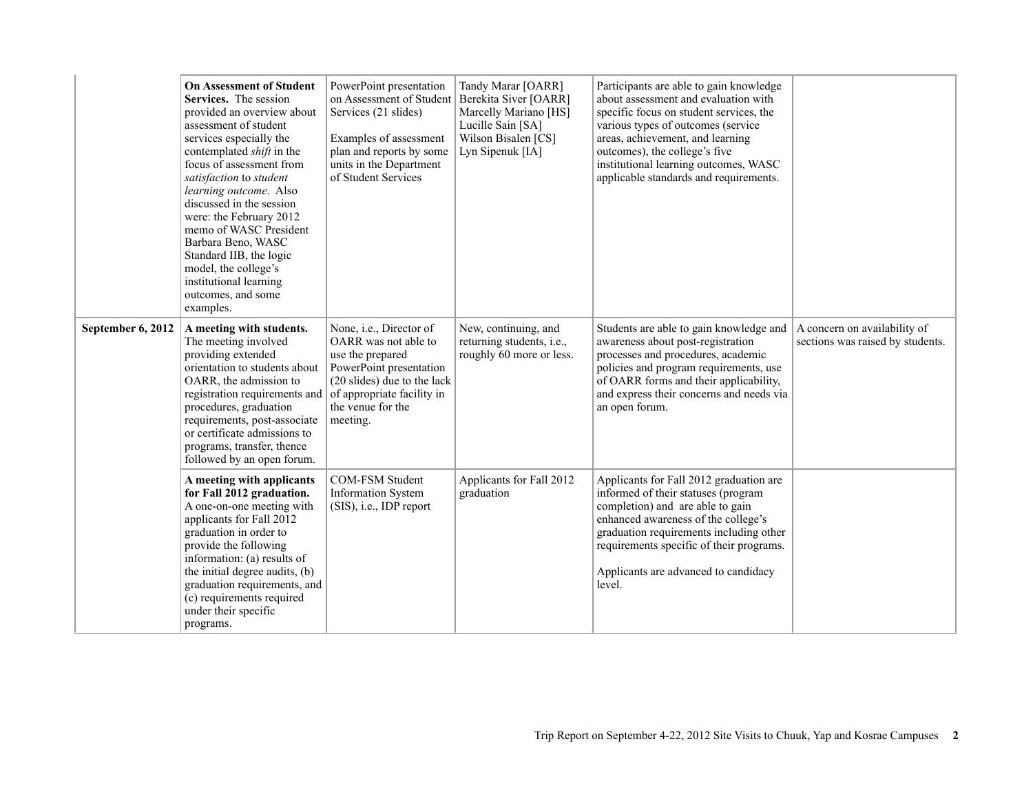|                   | <b>On Assessment of Student</b><br>Services. The session<br>provided an overview about<br>assessment of student<br>services especially the<br>contemplated <i>shift</i> in the<br>focus of assessment from<br>satisfaction to student<br>learning outcome. Also<br>discussed in the session<br>were: the February 2012<br>memo of WASC President<br>Barbara Beno, WASC<br>Standard IIB, the logic<br>model, the college's<br>institutional learning<br>outcomes, and some<br>examples. | PowerPoint presentation<br>on Assessment of Student<br>Services (21 slides)<br>Examples of assessment<br>plan and reports by some<br>units in the Department<br>of Student Services          | Tandy Marar [OARR]<br>Berekita Siver [OARR]<br>Marcelly Mariano [HS]<br>Lucille Sain [SA]<br>Wilson Bisalen [CS]<br>Lyn Sipenuk [IA] | Participants are able to gain knowledge<br>about assessment and evaluation with<br>specific focus on student services, the<br>various types of outcomes (service<br>areas, achievement, and learning<br>outcomes), the college's five<br>institutional learning outcomes, WASC<br>applicable standards and requirements. |                                                                  |
|-------------------|----------------------------------------------------------------------------------------------------------------------------------------------------------------------------------------------------------------------------------------------------------------------------------------------------------------------------------------------------------------------------------------------------------------------------------------------------------------------------------------|----------------------------------------------------------------------------------------------------------------------------------------------------------------------------------------------|--------------------------------------------------------------------------------------------------------------------------------------|--------------------------------------------------------------------------------------------------------------------------------------------------------------------------------------------------------------------------------------------------------------------------------------------------------------------------|------------------------------------------------------------------|
| September 6, 2012 | A meeting with students.<br>The meeting involved<br>providing extended<br>orientation to students about<br>OARR, the admission to<br>registration requirements and<br>procedures, graduation<br>requirements, post-associate<br>or certificate admissions to<br>programs, transfer, thence<br>followed by an open forum.                                                                                                                                                               | None, i.e., Director of<br>OARR was not able to<br>use the prepared<br>PowerPoint presentation<br>(20 slides) due to the lack<br>of appropriate facility in<br>the venue for the<br>meeting. | New, continuing, and<br>returning students, i.e.,<br>roughly 60 more or less.                                                        | Students are able to gain knowledge and<br>awareness about post-registration<br>processes and procedures, academic<br>policies and program requirements, use<br>of OARR forms and their applicability,<br>and express their concerns and needs via<br>an open forum.                                                     | A concern on availability of<br>sections was raised by students. |
|                   | A meeting with applicants<br>for Fall 2012 graduation.<br>A one-on-one meeting with<br>applicants for Fall 2012<br>graduation in order to<br>provide the following<br>information: (a) results of<br>the initial degree audits, (b)<br>graduation requirements, and<br>(c) requirements required<br>under their specific<br>programs.                                                                                                                                                  | COM-FSM Student<br><b>Information System</b><br>(SIS), i.e., IDP report                                                                                                                      | Applicants for Fall 2012<br>graduation                                                                                               | Applicants for Fall 2012 graduation are<br>informed of their statuses (program<br>completion) and are able to gain<br>enhanced awareness of the college's<br>graduation requirements including other<br>requirements specific of their programs.<br>Applicants are advanced to candidacy<br>level.                       |                                                                  |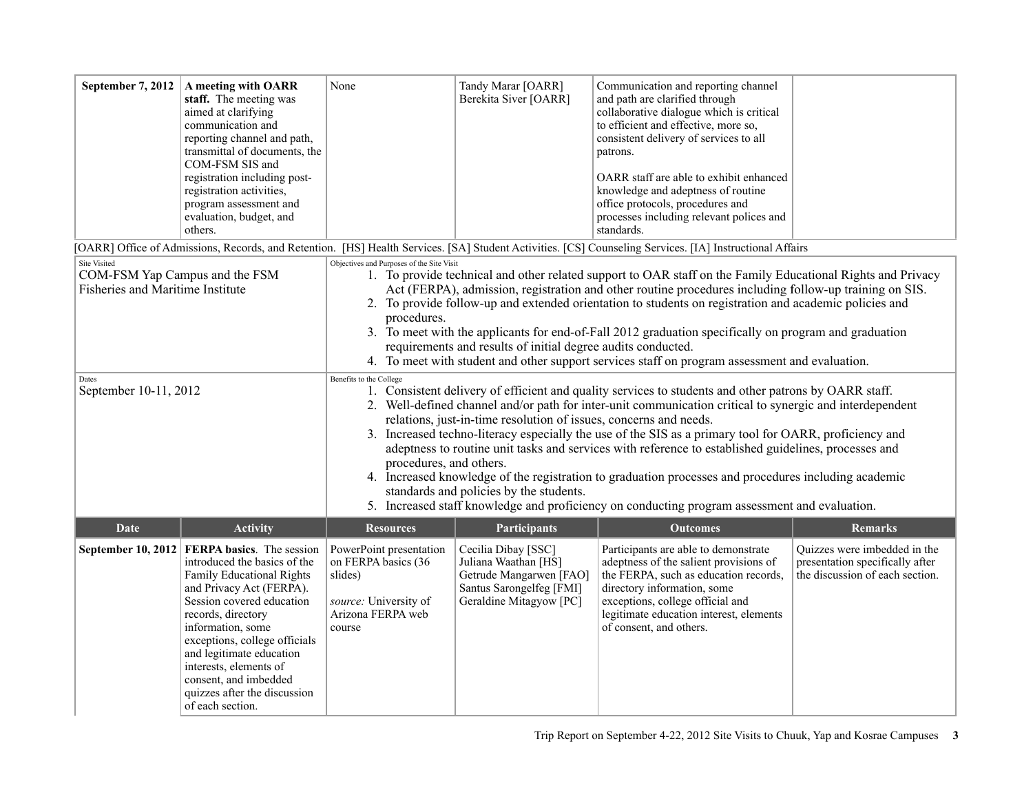| September 7, 2012                                                                                                                  | A meeting with OARR<br>staff. The meeting was<br>aimed at clarifying<br>communication and<br>reporting channel and path,<br>transmittal of documents, the<br>COM-FSM SIS and<br>registration including post-<br>registration activities,<br>program assessment and<br>evaluation, budget, and<br>others.                                                       | None                                                                                                                                                                                                                                                                                                                                                                                                                                                                                                                                                                                                                                                                                                                                                                                                                                                                                                                                                                                                                                                                                                                                                                                                                                                                                                                                                                                                                                                                                         | Tandy Marar [OARR]<br>Berekita Siver [OARR]                                                                                   | Communication and reporting channel<br>and path are clarified through<br>collaborative dialogue which is critical<br>to efficient and effective, more so,<br>consistent delivery of services to all<br>patrons.<br>OARR staff are able to exhibit enhanced<br>knowledge and adeptness of routine<br>office protocols, procedures and<br>processes including relevant polices and<br>standards. |                                                                                                    |  |
|------------------------------------------------------------------------------------------------------------------------------------|----------------------------------------------------------------------------------------------------------------------------------------------------------------------------------------------------------------------------------------------------------------------------------------------------------------------------------------------------------------|----------------------------------------------------------------------------------------------------------------------------------------------------------------------------------------------------------------------------------------------------------------------------------------------------------------------------------------------------------------------------------------------------------------------------------------------------------------------------------------------------------------------------------------------------------------------------------------------------------------------------------------------------------------------------------------------------------------------------------------------------------------------------------------------------------------------------------------------------------------------------------------------------------------------------------------------------------------------------------------------------------------------------------------------------------------------------------------------------------------------------------------------------------------------------------------------------------------------------------------------------------------------------------------------------------------------------------------------------------------------------------------------------------------------------------------------------------------------------------------------|-------------------------------------------------------------------------------------------------------------------------------|------------------------------------------------------------------------------------------------------------------------------------------------------------------------------------------------------------------------------------------------------------------------------------------------------------------------------------------------------------------------------------------------|----------------------------------------------------------------------------------------------------|--|
|                                                                                                                                    |                                                                                                                                                                                                                                                                                                                                                                |                                                                                                                                                                                                                                                                                                                                                                                                                                                                                                                                                                                                                                                                                                                                                                                                                                                                                                                                                                                                                                                                                                                                                                                                                                                                                                                                                                                                                                                                                              |                                                                                                                               | [OARR] Office of Admissions, Records, and Retention. [HS] Health Services. [SA] Student Activities. [CS] Counseling Services. [IA] Instructional Affairs                                                                                                                                                                                                                                       |                                                                                                    |  |
| <b>Site Visited</b><br>COM-FSM Yap Campus and the FSM<br><b>Fisheries and Maritime Institute</b><br>Dates<br>September 10-11, 2012 |                                                                                                                                                                                                                                                                                                                                                                | Objectives and Purposes of the Site Visit<br>1. To provide technical and other related support to OAR staff on the Family Educational Rights and Privacy<br>Act (FERPA), admission, registration and other routine procedures including follow-up training on SIS.<br>2. To provide follow-up and extended orientation to students on registration and academic policies and<br>procedures.<br>3. To meet with the applicants for end-of-Fall 2012 graduation specifically on program and graduation<br>requirements and results of initial degree audits conducted.<br>4. To meet with student and other support services staff on program assessment and evaluation.<br>Benefits to the College<br>1. Consistent delivery of efficient and quality services to students and other patrons by OARR staff.<br>2. Well-defined channel and/or path for inter-unit communication critical to synergic and interdependent<br>relations, just-in-time resolution of issues, concerns and needs.<br>3. Increased techno-literacy especially the use of the SIS as a primary tool for OARR, proficiency and<br>adeptness to routine unit tasks and services with reference to established guidelines, processes and<br>procedures, and others.<br>4. Increased knowledge of the registration to graduation processes and procedures including academic<br>standards and policies by the students.<br>5. Increased staff knowledge and proficiency on conducting program assessment and evaluation. |                                                                                                                               |                                                                                                                                                                                                                                                                                                                                                                                                |                                                                                                    |  |
| <b>Activity</b><br>Date                                                                                                            |                                                                                                                                                                                                                                                                                                                                                                | <b>Resources</b>                                                                                                                                                                                                                                                                                                                                                                                                                                                                                                                                                                                                                                                                                                                                                                                                                                                                                                                                                                                                                                                                                                                                                                                                                                                                                                                                                                                                                                                                             | Participants                                                                                                                  | <b>Outcomes</b>                                                                                                                                                                                                                                                                                                                                                                                | <b>Remarks</b>                                                                                     |  |
| <b>September 10, 2012</b>                                                                                                          | FERPA basics. The session<br>introduced the basics of the<br>Family Educational Rights<br>and Privacy Act (FERPA).<br>Session covered education<br>records, directory<br>information, some<br>exceptions, college officials<br>and legitimate education<br>interests, elements of<br>consent, and imbedded<br>quizzes after the discussion<br>of each section. | PowerPoint presentation<br>on FERPA basics (36<br>slides)<br>source: University of<br>Arizona FERPA web<br>course                                                                                                                                                                                                                                                                                                                                                                                                                                                                                                                                                                                                                                                                                                                                                                                                                                                                                                                                                                                                                                                                                                                                                                                                                                                                                                                                                                            | Cecilia Dibay [SSC]<br>Juliana Waathan [HS]<br>Getrude Mangarwen [FAO]<br>Santus Sarongelfeg [FMI]<br>Geraldine Mitagyow [PC] | Participants are able to demonstrate<br>adeptness of the salient provisions of<br>the FERPA, such as education records,<br>directory information, some<br>exceptions, college official and<br>legitimate education interest, elements<br>of consent, and others.                                                                                                                               | Quizzes were imbedded in the<br>presentation specifically after<br>the discussion of each section. |  |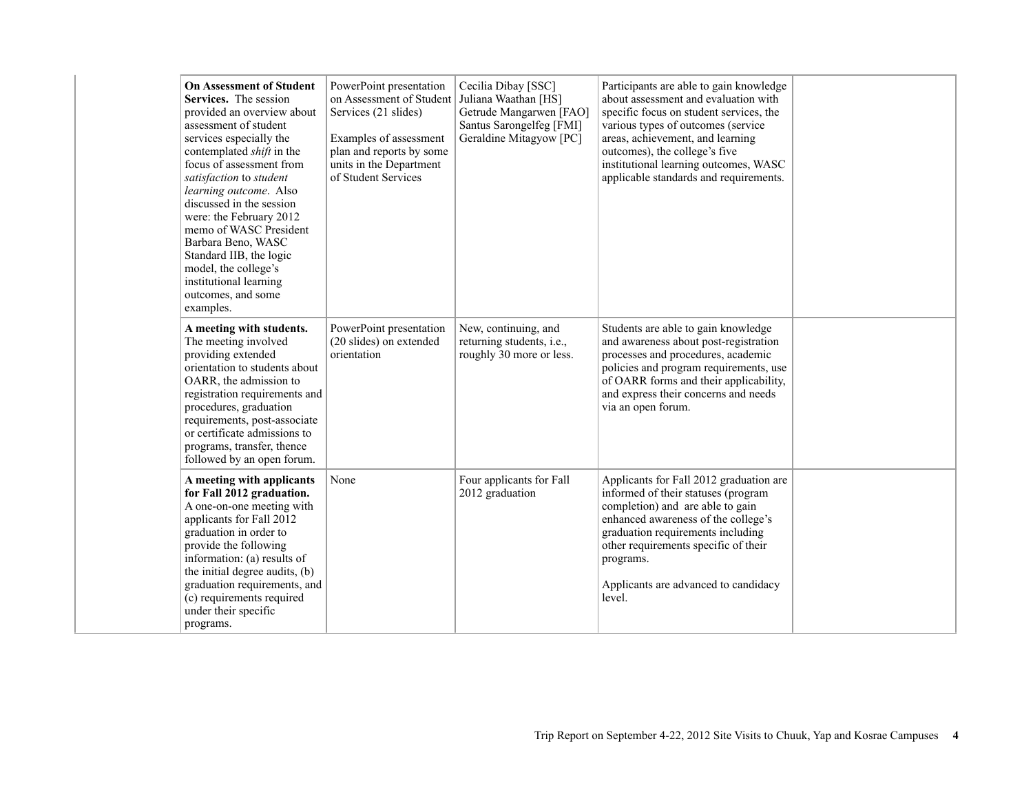| <b>On Assessment of Student</b><br>Services. The session<br>provided an overview about<br>assessment of student<br>services especially the<br>contemplated <i>shift</i> in the<br>focus of assessment from<br>satisfaction to student<br>learning outcome. Also<br>discussed in the session<br>were: the February 2012<br>memo of WASC President<br>Barbara Beno, WASC<br>Standard IIB, the logic<br>model, the college's<br>institutional learning<br>outcomes, and some<br>examples. | PowerPoint presentation<br>on Assessment of Student<br>Services (21 slides)<br>Examples of assessment<br>plan and reports by some<br>units in the Department<br>of Student Services | Cecilia Dibay [SSC]<br>Juliana Waathan [HS]<br>Getrude Mangarwen [FAO]<br>Santus Sarongelfeg [FMI]<br>Geraldine Mitagyow [PC] | Participants are able to gain knowledge<br>about assessment and evaluation with<br>specific focus on student services, the<br>various types of outcomes (service<br>areas, achievement, and learning<br>outcomes), the college's five<br>institutional learning outcomes, WASC<br>applicable standards and requirements. |  |
|----------------------------------------------------------------------------------------------------------------------------------------------------------------------------------------------------------------------------------------------------------------------------------------------------------------------------------------------------------------------------------------------------------------------------------------------------------------------------------------|-------------------------------------------------------------------------------------------------------------------------------------------------------------------------------------|-------------------------------------------------------------------------------------------------------------------------------|--------------------------------------------------------------------------------------------------------------------------------------------------------------------------------------------------------------------------------------------------------------------------------------------------------------------------|--|
| A meeting with students.<br>The meeting involved<br>providing extended<br>orientation to students about<br>OARR, the admission to<br>registration requirements and<br>procedures, graduation<br>requirements, post-associate<br>or certificate admissions to<br>programs, transfer, thence<br>followed by an open forum.                                                                                                                                                               | PowerPoint presentation<br>(20 slides) on extended<br>orientation                                                                                                                   | New, continuing, and<br>returning students, i.e.,<br>roughly 30 more or less.                                                 | Students are able to gain knowledge<br>and awareness about post-registration<br>processes and procedures, academic<br>policies and program requirements, use<br>of OARR forms and their applicability,<br>and express their concerns and needs<br>via an open forum.                                                     |  |
| A meeting with applicants<br>for Fall 2012 graduation.<br>A one-on-one meeting with<br>applicants for Fall 2012<br>graduation in order to<br>provide the following<br>information: (a) results of<br>the initial degree audits, (b)<br>graduation requirements, and<br>(c) requirements required<br>under their specific<br>programs.                                                                                                                                                  | None                                                                                                                                                                                | Four applicants for Fall<br>2012 graduation                                                                                   | Applicants for Fall 2012 graduation are<br>informed of their statuses (program<br>completion) and are able to gain<br>enhanced awareness of the college's<br>graduation requirements including<br>other requirements specific of their<br>programs.<br>Applicants are advanced to candidacy<br>level.                    |  |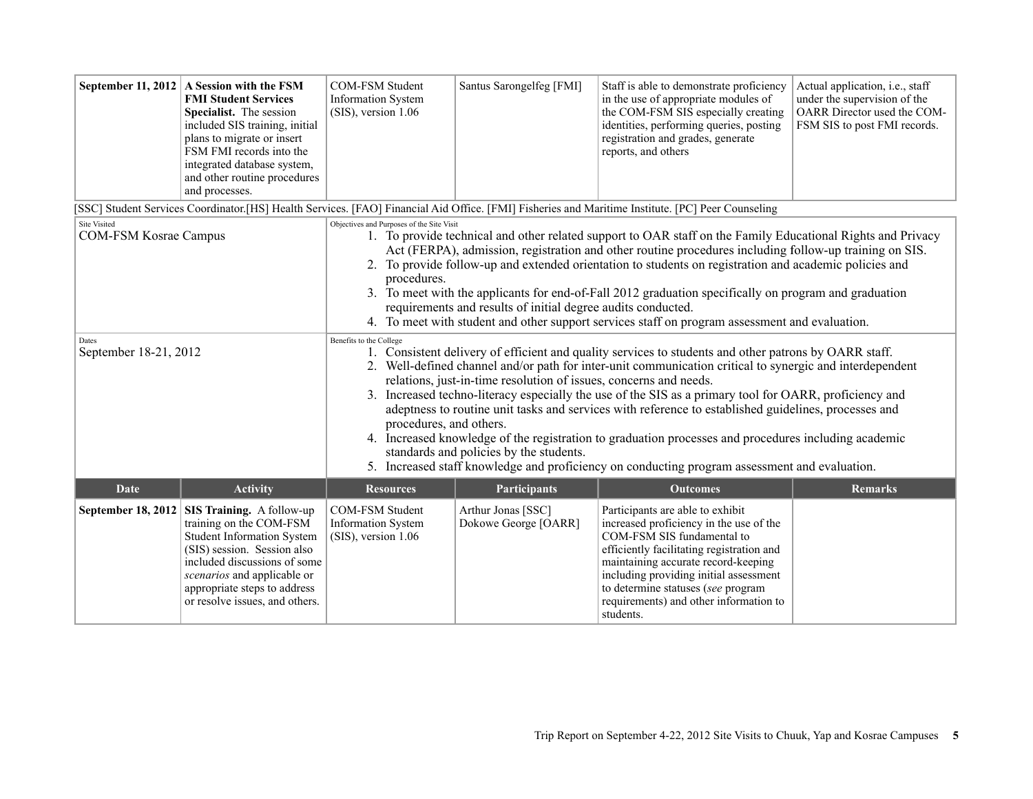|                                              | September 11, 2012 A Session with the FSM<br><b>FMI Student Services</b><br>Specialist. The session<br>included SIS training, initial<br>plans to migrate or insert<br>FSM FMI records into the<br>integrated database system,<br>and other routine procedures<br>and processes. | COM-FSM Student<br><b>Information System</b><br>$(SIS)$ , version 1.06                                                                                                                                                                                                                                                                                                                                                                                                                                                                                                                                                                                                                                                                                                                                             | Santus Sarongelfeg [FMI]                   | Staff is able to demonstrate proficiency<br>in the use of appropriate modules of<br>the COM-FSM SIS especially creating<br>identities, performing queries, posting<br>registration and grades, generate<br>reports, and others                                                                                                       | Actual application, i.e., staff<br>under the supervision of the<br>OARR Director used the COM-<br>FSM SIS to post FMI records. |  |
|----------------------------------------------|----------------------------------------------------------------------------------------------------------------------------------------------------------------------------------------------------------------------------------------------------------------------------------|--------------------------------------------------------------------------------------------------------------------------------------------------------------------------------------------------------------------------------------------------------------------------------------------------------------------------------------------------------------------------------------------------------------------------------------------------------------------------------------------------------------------------------------------------------------------------------------------------------------------------------------------------------------------------------------------------------------------------------------------------------------------------------------------------------------------|--------------------------------------------|--------------------------------------------------------------------------------------------------------------------------------------------------------------------------------------------------------------------------------------------------------------------------------------------------------------------------------------|--------------------------------------------------------------------------------------------------------------------------------|--|
|                                              |                                                                                                                                                                                                                                                                                  | [SSC] Student Services Coordinator.[HS] Health Services. [FAO] Financial Aid Office. [FMI] Fisheries and Maritime Institute. [PC] Peer Counseling                                                                                                                                                                                                                                                                                                                                                                                                                                                                                                                                                                                                                                                                  |                                            |                                                                                                                                                                                                                                                                                                                                      |                                                                                                                                |  |
| Site Visited<br><b>COM-FSM Kosrae Campus</b> |                                                                                                                                                                                                                                                                                  | Objectives and Purposes of the Site Visit<br>1. To provide technical and other related support to OAR staff on the Family Educational Rights and Privacy<br>Act (FERPA), admission, registration and other routine procedures including follow-up training on SIS.<br>2. To provide follow-up and extended orientation to students on registration and academic policies and<br>procedures.<br>3. To meet with the applicants for end-of-Fall 2012 graduation specifically on program and graduation<br>requirements and results of initial degree audits conducted.<br>4. To meet with student and other support services staff on program assessment and evaluation.                                                                                                                                             |                                            |                                                                                                                                                                                                                                                                                                                                      |                                                                                                                                |  |
| Dates<br>September 18-21, 2012               |                                                                                                                                                                                                                                                                                  | Benefits to the College<br>1. Consistent delivery of efficient and quality services to students and other patrons by OARR staff.<br>2. Well-defined channel and/or path for inter-unit communication critical to synergic and interdependent<br>relations, just-in-time resolution of issues, concerns and needs.<br>3. Increased techno-literacy especially the use of the SIS as a primary tool for OARR, proficiency and<br>adeptness to routine unit tasks and services with reference to established guidelines, processes and<br>procedures, and others.<br>4. Increased knowledge of the registration to graduation processes and procedures including academic<br>standards and policies by the students.<br>5. Increased staff knowledge and proficiency on conducting program assessment and evaluation. |                                            |                                                                                                                                                                                                                                                                                                                                      |                                                                                                                                |  |
| <b>Activity</b><br>Date                      |                                                                                                                                                                                                                                                                                  | <b>Resources</b>                                                                                                                                                                                                                                                                                                                                                                                                                                                                                                                                                                                                                                                                                                                                                                                                   | <b>Participants</b>                        | <b>Outcomes</b>                                                                                                                                                                                                                                                                                                                      | <b>Remarks</b>                                                                                                                 |  |
| <b>September 18, 2012</b>                    | SIS Training. A follow-up<br>training on the COM-FSM<br><b>Student Information System</b><br>(SIS) session. Session also<br>included discussions of some<br>scenarios and applicable or<br>appropriate steps to address<br>or resolve issues, and others.                        | COM-FSM Student<br><b>Information System</b><br>$(SIS)$ , version 1.06                                                                                                                                                                                                                                                                                                                                                                                                                                                                                                                                                                                                                                                                                                                                             | Arthur Jonas [SSC]<br>Dokowe George [OARR] | Participants are able to exhibit<br>increased proficiency in the use of the<br>COM-FSM SIS fundamental to<br>efficiently facilitating registration and<br>maintaining accurate record-keeping<br>including providing initial assessment<br>to determine statuses (see program<br>requirements) and other information to<br>students. |                                                                                                                                |  |